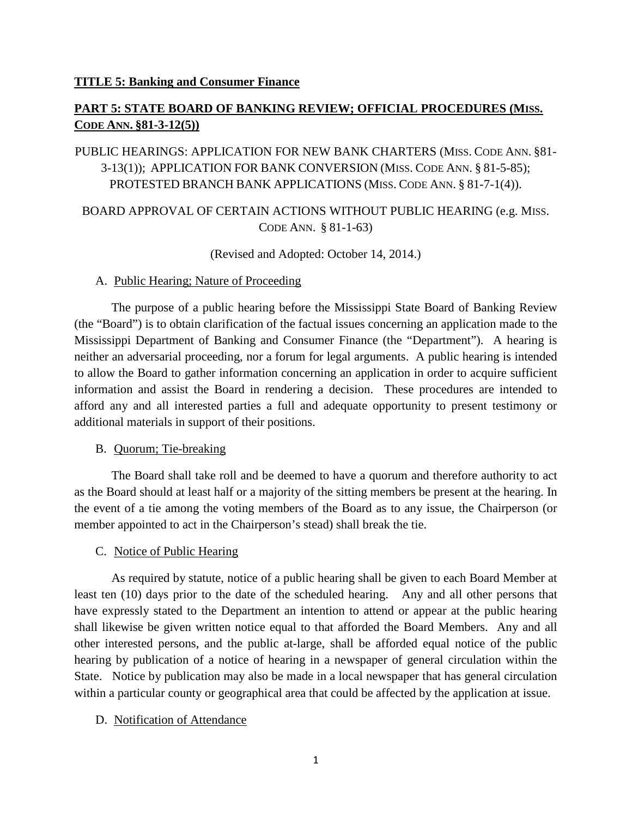### **TITLE 5: Banking and Consumer Finance**

# **PART 5: STATE BOARD OF BANKING REVIEW; OFFICIAL PROCEDURES (MISS. CODE ANN. §81-3-12(5))**

# PUBLIC HEARINGS: APPLICATION FOR NEW BANK CHARTERS (MISS. CODE ANN. §81- 3-13(1)); APPLICATION FOR BANK CONVERSION (MISS. CODE ANN. § 81-5-85); PROTESTED BRANCH BANK APPLICATIONS (MISS. CODE ANN. § 81-7-1(4)).

# BOARD APPROVAL OF CERTAIN ACTIONS WITHOUT PUBLIC HEARING (e.g. MISS. CODE ANN. § 81-1-63)

(Revised and Adopted: October 14, 2014.)

### A. Public Hearing; Nature of Proceeding

The purpose of a public hearing before the Mississippi State Board of Banking Review (the "Board") is to obtain clarification of the factual issues concerning an application made to the Mississippi Department of Banking and Consumer Finance (the "Department"). A hearing is neither an adversarial proceeding, nor a forum for legal arguments. A public hearing is intended to allow the Board to gather information concerning an application in order to acquire sufficient information and assist the Board in rendering a decision. These procedures are intended to afford any and all interested parties a full and adequate opportunity to present testimony or additional materials in support of their positions.

# B. Quorum; Tie-breaking

The Board shall take roll and be deemed to have a quorum and therefore authority to act as the Board should at least half or a majority of the sitting members be present at the hearing. In the event of a tie among the voting members of the Board as to any issue, the Chairperson (or member appointed to act in the Chairperson's stead) shall break the tie.

# C. Notice of Public Hearing

As required by statute, notice of a public hearing shall be given to each Board Member at least ten (10) days prior to the date of the scheduled hearing. Any and all other persons that have expressly stated to the Department an intention to attend or appear at the public hearing shall likewise be given written notice equal to that afforded the Board Members. Any and all other interested persons, and the public at-large, shall be afforded equal notice of the public hearing by publication of a notice of hearing in a newspaper of general circulation within the State. Notice by publication may also be made in a local newspaper that has general circulation within a particular county or geographical area that could be affected by the application at issue.

# D. Notification of Attendance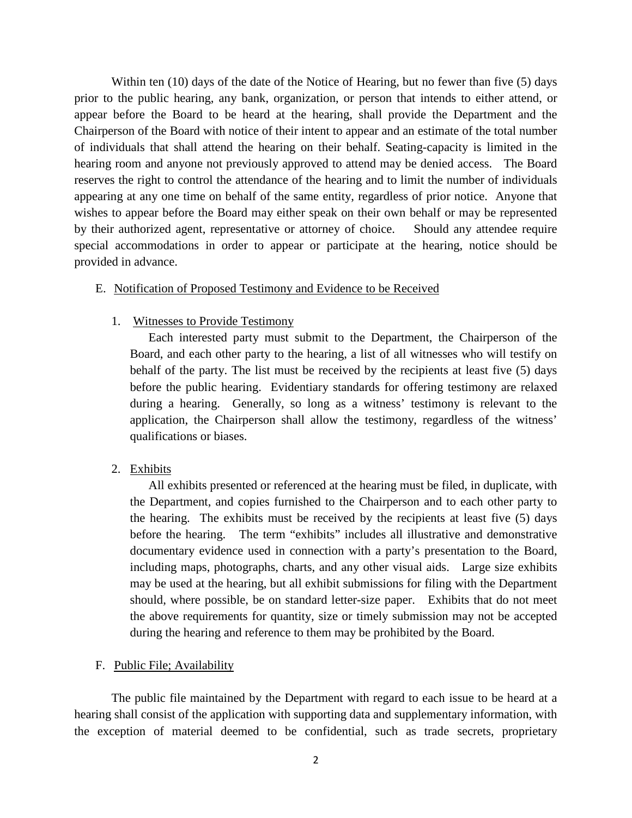Within ten (10) days of the date of the Notice of Hearing, but no fewer than five (5) days prior to the public hearing, any bank, organization, or person that intends to either attend, or appear before the Board to be heard at the hearing, shall provide the Department and the Chairperson of the Board with notice of their intent to appear and an estimate of the total number of individuals that shall attend the hearing on their behalf. Seating-capacity is limited in the hearing room and anyone not previously approved to attend may be denied access. The Board reserves the right to control the attendance of the hearing and to limit the number of individuals appearing at any one time on behalf of the same entity, regardless of prior notice. Anyone that wishes to appear before the Board may either speak on their own behalf or may be represented by their authorized agent, representative or attorney of choice. Should any attendee require special accommodations in order to appear or participate at the hearing, notice should be provided in advance.

### E. Notification of Proposed Testimony and Evidence to be Received

### 1. Witnesses to Provide Testimony

Each interested party must submit to the Department, the Chairperson of the Board, and each other party to the hearing, a list of all witnesses who will testify on behalf of the party. The list must be received by the recipients at least five (5) days before the public hearing. Evidentiary standards for offering testimony are relaxed during a hearing. Generally, so long as a witness' testimony is relevant to the application, the Chairperson shall allow the testimony, regardless of the witness' qualifications or biases.

2. Exhibits

All exhibits presented or referenced at the hearing must be filed, in duplicate, with the Department, and copies furnished to the Chairperson and to each other party to the hearing. The exhibits must be received by the recipients at least five (5) days before the hearing. The term "exhibits" includes all illustrative and demonstrative documentary evidence used in connection with a party's presentation to the Board, including maps, photographs, charts, and any other visual aids. Large size exhibits may be used at the hearing, but all exhibit submissions for filing with the Department should, where possible, be on standard letter-size paper. Exhibits that do not meet the above requirements for quantity, size or timely submission may not be accepted during the hearing and reference to them may be prohibited by the Board.

#### F. Public File; Availability

The public file maintained by the Department with regard to each issue to be heard at a hearing shall consist of the application with supporting data and supplementary information, with the exception of material deemed to be confidential, such as trade secrets, proprietary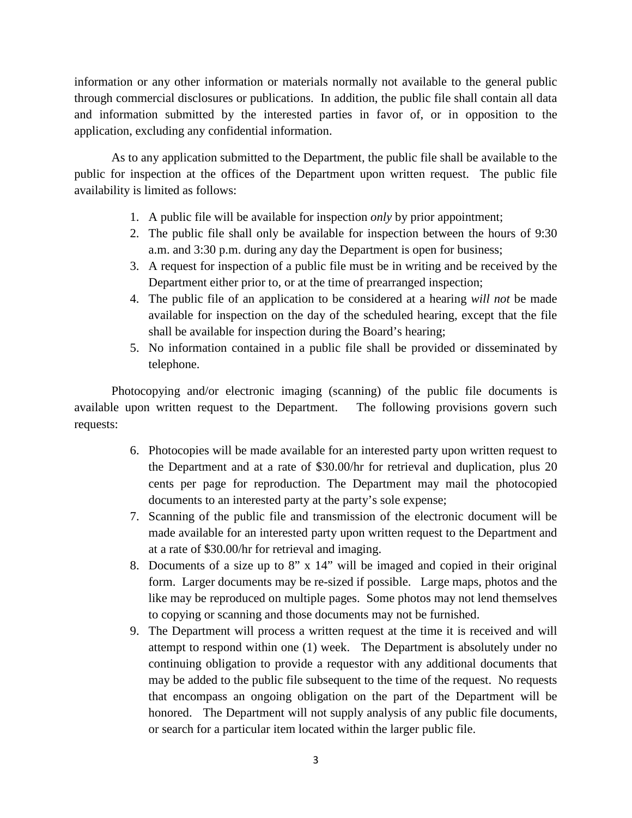information or any other information or materials normally not available to the general public through commercial disclosures or publications. In addition, the public file shall contain all data and information submitted by the interested parties in favor of, or in opposition to the application, excluding any confidential information.

As to any application submitted to the Department, the public file shall be available to the public for inspection at the offices of the Department upon written request. The public file availability is limited as follows:

- 1. A public file will be available for inspection *only* by prior appointment;
- 2. The public file shall only be available for inspection between the hours of 9:30 a.m. and 3:30 p.m. during any day the Department is open for business;
- 3. A request for inspection of a public file must be in writing and be received by the Department either prior to, or at the time of prearranged inspection;
- 4. The public file of an application to be considered at a hearing *will not* be made available for inspection on the day of the scheduled hearing, except that the file shall be available for inspection during the Board's hearing;
- 5. No information contained in a public file shall be provided or disseminated by telephone.

Photocopying and/or electronic imaging (scanning) of the public file documents is available upon written request to the Department. The following provisions govern such requests:

- 6. Photocopies will be made available for an interested party upon written request to the Department and at a rate of \$30.00/hr for retrieval and duplication, plus 20 cents per page for reproduction. The Department may mail the photocopied documents to an interested party at the party's sole expense;
- 7. Scanning of the public file and transmission of the electronic document will be made available for an interested party upon written request to the Department and at a rate of \$30.00/hr for retrieval and imaging.
- 8. Documents of a size up to 8" x 14" will be imaged and copied in their original form. Larger documents may be re-sized if possible. Large maps, photos and the like may be reproduced on multiple pages. Some photos may not lend themselves to copying or scanning and those documents may not be furnished.
- 9. The Department will process a written request at the time it is received and will attempt to respond within one (1) week. The Department is absolutely under no continuing obligation to provide a requestor with any additional documents that may be added to the public file subsequent to the time of the request. No requests that encompass an ongoing obligation on the part of the Department will be honored. The Department will not supply analysis of any public file documents, or search for a particular item located within the larger public file.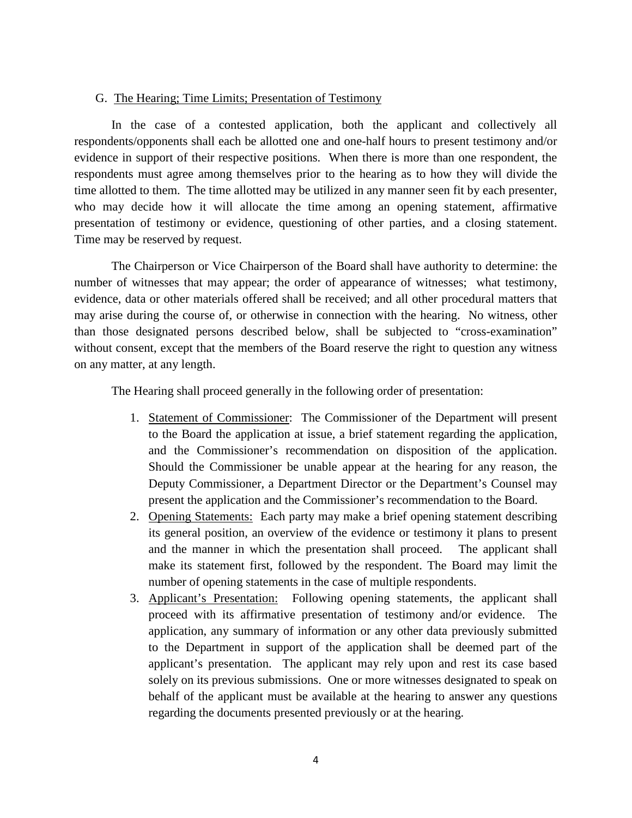#### G. The Hearing; Time Limits; Presentation of Testimony

In the case of a contested application, both the applicant and collectively all respondents/opponents shall each be allotted one and one-half hours to present testimony and/or evidence in support of their respective positions. When there is more than one respondent, the respondents must agree among themselves prior to the hearing as to how they will divide the time allotted to them. The time allotted may be utilized in any manner seen fit by each presenter, who may decide how it will allocate the time among an opening statement, affirmative presentation of testimony or evidence, questioning of other parties, and a closing statement. Time may be reserved by request.

The Chairperson or Vice Chairperson of the Board shall have authority to determine: the number of witnesses that may appear; the order of appearance of witnesses; what testimony, evidence, data or other materials offered shall be received; and all other procedural matters that may arise during the course of, or otherwise in connection with the hearing. No witness, other than those designated persons described below, shall be subjected to "cross-examination" without consent, except that the members of the Board reserve the right to question any witness on any matter, at any length.

The Hearing shall proceed generally in the following order of presentation:

- 1. Statement of Commissioner: The Commissioner of the Department will present to the Board the application at issue, a brief statement regarding the application, and the Commissioner's recommendation on disposition of the application. Should the Commissioner be unable appear at the hearing for any reason, the Deputy Commissioner, a Department Director or the Department's Counsel may present the application and the Commissioner's recommendation to the Board.
- 2. Opening Statements: Each party may make a brief opening statement describing its general position, an overview of the evidence or testimony it plans to present and the manner in which the presentation shall proceed. The applicant shall make its statement first, followed by the respondent. The Board may limit the number of opening statements in the case of multiple respondents.
- 3. Applicant's Presentation: Following opening statements, the applicant shall proceed with its affirmative presentation of testimony and/or evidence. The application, any summary of information or any other data previously submitted to the Department in support of the application shall be deemed part of the applicant's presentation. The applicant may rely upon and rest its case based solely on its previous submissions. One or more witnesses designated to speak on behalf of the applicant must be available at the hearing to answer any questions regarding the documents presented previously or at the hearing.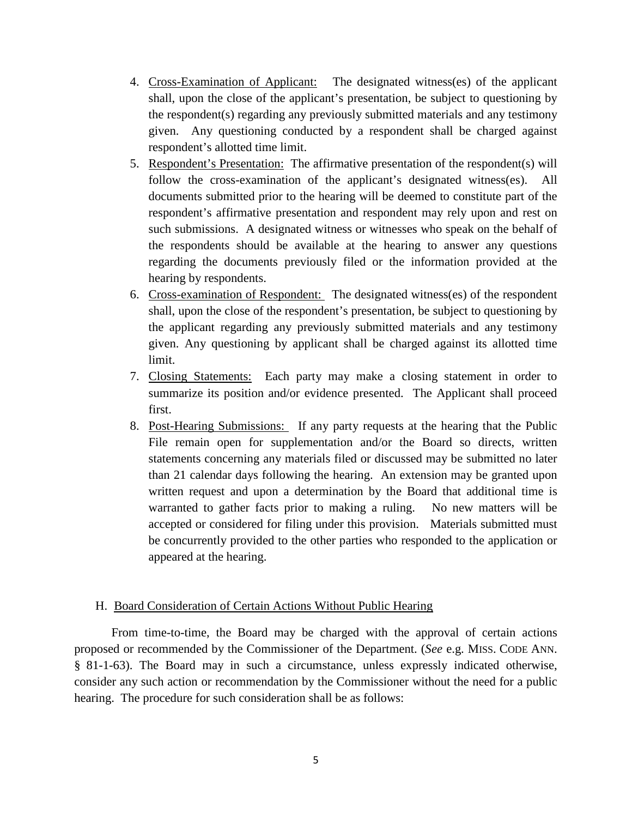- 4. Cross-Examination of Applicant: The designated witness(es) of the applicant shall, upon the close of the applicant's presentation, be subject to questioning by the respondent(s) regarding any previously submitted materials and any testimony given. Any questioning conducted by a respondent shall be charged against respondent's allotted time limit.
- 5. Respondent's Presentation: The affirmative presentation of the respondent(s) will follow the cross-examination of the applicant's designated witness(es). All documents submitted prior to the hearing will be deemed to constitute part of the respondent's affirmative presentation and respondent may rely upon and rest on such submissions. A designated witness or witnesses who speak on the behalf of the respondents should be available at the hearing to answer any questions regarding the documents previously filed or the information provided at the hearing by respondents.
- 6. Cross-examination of Respondent: The designated witness(es) of the respondent shall, upon the close of the respondent's presentation, be subject to questioning by the applicant regarding any previously submitted materials and any testimony given. Any questioning by applicant shall be charged against its allotted time limit.
- 7. Closing Statements: Each party may make a closing statement in order to summarize its position and/or evidence presented. The Applicant shall proceed first.
- 8. Post-Hearing Submissions: If any party requests at the hearing that the Public File remain open for supplementation and/or the Board so directs, written statements concerning any materials filed or discussed may be submitted no later than 21 calendar days following the hearing. An extension may be granted upon written request and upon a determination by the Board that additional time is warranted to gather facts prior to making a ruling. No new matters will be accepted or considered for filing under this provision. Materials submitted must be concurrently provided to the other parties who responded to the application or appeared at the hearing.

# H. Board Consideration of Certain Actions Without Public Hearing

From time-to-time, the Board may be charged with the approval of certain actions proposed or recommended by the Commissioner of the Department. (*See* e.g. MISS. CODE ANN. § 81-1-63). The Board may in such a circumstance, unless expressly indicated otherwise, consider any such action or recommendation by the Commissioner without the need for a public hearing. The procedure for such consideration shall be as follows: